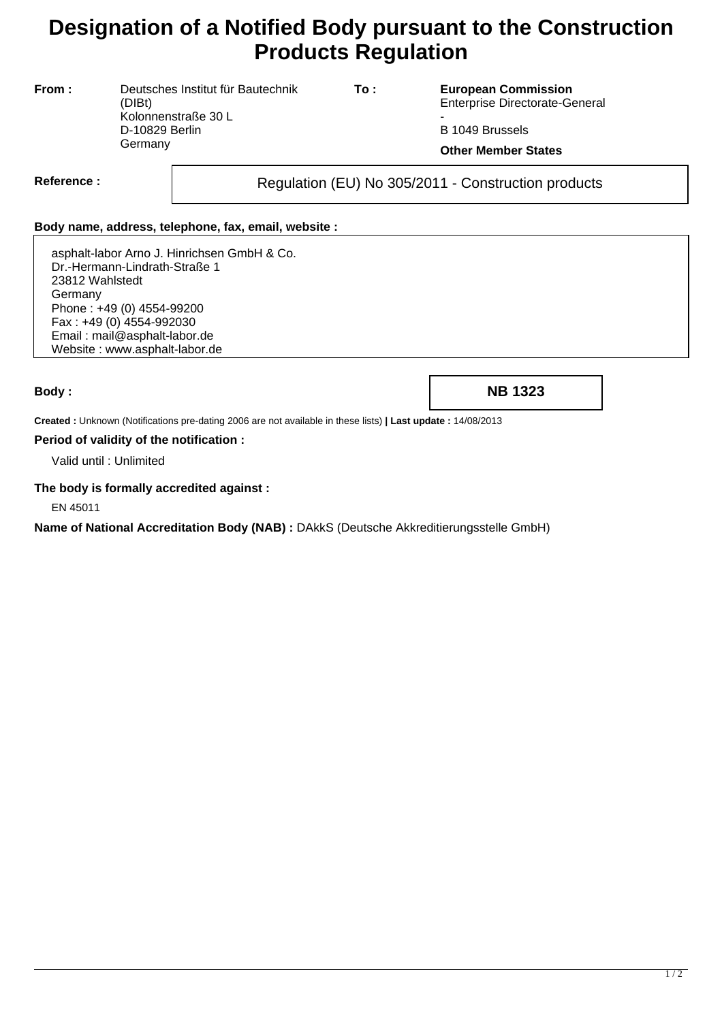# **Designation of a Notified Body pursuant to the Construction Products Regulation**

**From :** Deutsches Institut für Bautechnik (DIBt) Kolonnenstraße 30 L D-10829 Berlin **Germany** 

**To : European Commission** Enterprise Directorate-General

- B 1049 Brussels

**Other Member States**

Reference : and **Regulation (EU) No 305/2011** - Construction products

## **Body name, address, telephone, fax, email, website :**

asphalt-labor Arno J. Hinrichsen GmbH & Co. Dr.-Hermann-Lindrath-Straße 1 23812 Wahlstedt Germany Phone : +49 (0) 4554-99200 Fax : +49 (0) 4554-992030 Email : mail@asphalt-labor.de Website : www.asphalt-labor.de

**Body : NB 1323**

**Created :** Unknown (Notifications pre-dating 2006 are not available in these lists) **| Last update :** 14/08/2013

#### **Period of validity of the notification :**

Valid until : Unlimited

### **The body is formally accredited against :**

EN 45011

**Name of National Accreditation Body (NAB) :** DAkkS (Deutsche Akkreditierungsstelle GmbH)